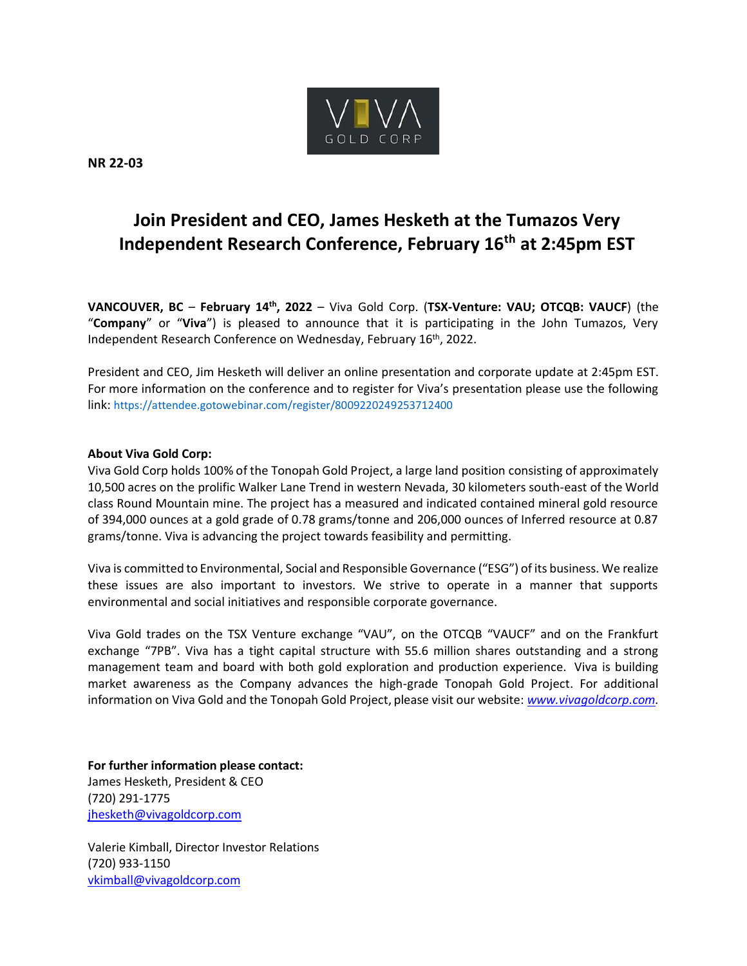

**NR 22-03**

## **Join President and CEO, James Hesketh at the Tumazos Very Independent Research Conference, February 16th at 2:45pm EST**

**VANCOUVER, BC** – **February 14 th, 2022** – Viva Gold Corp. (**TSX-Venture: VAU; OTCQB: VAUCF**) (the "**Company**" or "**Viva**") is pleased to announce that it is participating in the John Tumazos, Very Independent Research Conference on Wednesday, February 16th, 2022.

President and CEO, Jim Hesketh will deliver an online presentation and corporate update at 2:45pm EST. For more information on the conference and to register for Viva's presentation please use the following link: <https://attendee.gotowebinar.com/register/8009220249253712400>

## **About Viva Gold Corp:**

Viva Gold Corp holds 100% of the Tonopah Gold Project, a large land position consisting of approximately 10,500 acres on the prolific Walker Lane Trend in western Nevada, 30 kilometers south-east of the World class Round Mountain mine. The project has a measured and indicated contained mineral gold resource of 394,000 ounces at a gold grade of 0.78 grams/tonne and 206,000 ounces of Inferred resource at 0.87 grams/tonne. Viva is advancing the project towards feasibility and permitting.

Viva is committed to Environmental, Social and Responsible Governance ("ESG") of its business. We realize these issues are also important to investors. We strive to operate in a manner that supports environmental and social initiatives and responsible corporate governance.

Viva Gold trades on the TSX Venture exchange "VAU", on the OTCQB "VAUCF" and on the Frankfurt exchange "7PB". Viva has a tight capital structure with 55.6 million shares outstanding and a strong management team and board with both gold exploration and production experience. Viva is building market awareness as the Company advances the high-grade Tonopah Gold Project. For additional information on Viva Gold and the Tonopah Gold Project, please visit our website: *www.vivagoldcorp.com.*

**For further information please contact:** James Hesketh, President & CEO (720) 291-1775 [jhesketh@vivagoldcorp.com](mailto:jhesketh@vivagoldcorp.com)

Valerie Kimball, Director Investor Relations (720) 933-1150 [vkimball@vivagoldcorp.com](mailto:vkimball@vivagoldcorp.com)